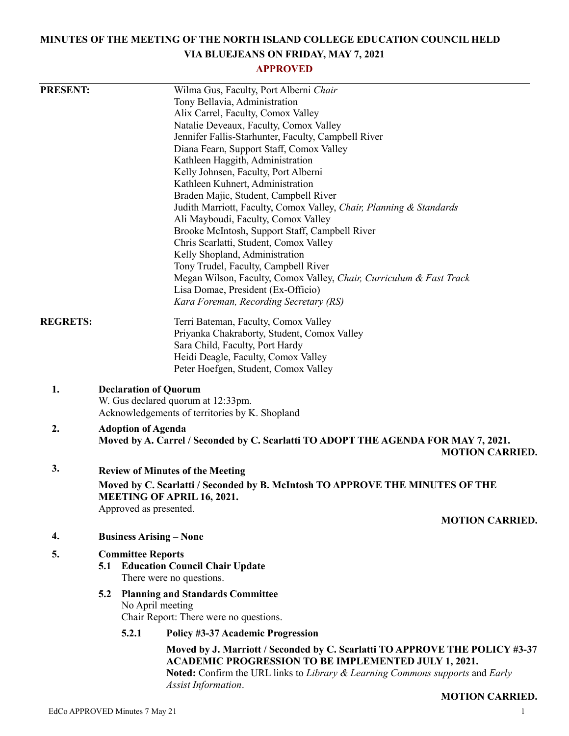# **MINUTES OF THE MEETING OF THE NORTH ISLAND COLLEGE EDUCATION COUNCIL HELD VIA BLUEJEANS ON FRIDAY, MAY 7, 2021**

## **APPROVED**

| <b>PRESENT:</b> |                                                                                                                    |                                                             | Wilma Gus, Faculty, Port Alberni Chair                                                                                                                              |  |  |
|-----------------|--------------------------------------------------------------------------------------------------------------------|-------------------------------------------------------------|---------------------------------------------------------------------------------------------------------------------------------------------------------------------|--|--|
|                 |                                                                                                                    |                                                             | Tony Bellavia, Administration                                                                                                                                       |  |  |
|                 |                                                                                                                    |                                                             | Alix Carrel, Faculty, Comox Valley                                                                                                                                  |  |  |
|                 |                                                                                                                    |                                                             | Natalie Deveaux, Faculty, Comox Valley                                                                                                                              |  |  |
|                 |                                                                                                                    |                                                             | Jennifer Fallis-Starhunter, Faculty, Campbell River                                                                                                                 |  |  |
|                 |                                                                                                                    |                                                             | Diana Fearn, Support Staff, Comox Valley                                                                                                                            |  |  |
|                 |                                                                                                                    |                                                             | Kathleen Haggith, Administration                                                                                                                                    |  |  |
|                 |                                                                                                                    |                                                             | Kelly Johnsen, Faculty, Port Alberni                                                                                                                                |  |  |
|                 |                                                                                                                    |                                                             | Kathleen Kuhnert, Administration                                                                                                                                    |  |  |
|                 |                                                                                                                    |                                                             | Braden Majic, Student, Campbell River                                                                                                                               |  |  |
|                 |                                                                                                                    |                                                             | Judith Marriott, Faculty, Comox Valley, Chair, Planning & Standards                                                                                                 |  |  |
|                 |                                                                                                                    |                                                             | Ali Mayboudi, Faculty, Comox Valley                                                                                                                                 |  |  |
|                 |                                                                                                                    |                                                             | Brooke McIntosh, Support Staff, Campbell River                                                                                                                      |  |  |
|                 | Chris Scarlatti, Student, Comox Valley                                                                             |                                                             |                                                                                                                                                                     |  |  |
|                 |                                                                                                                    |                                                             | Kelly Shopland, Administration                                                                                                                                      |  |  |
|                 |                                                                                                                    |                                                             | Tony Trudel, Faculty, Campbell River                                                                                                                                |  |  |
|                 |                                                                                                                    |                                                             | Megan Wilson, Faculty, Comox Valley, Chair, Curriculum & Fast Track                                                                                                 |  |  |
|                 |                                                                                                                    |                                                             | Lisa Domae, President (Ex-Officio)                                                                                                                                  |  |  |
|                 |                                                                                                                    |                                                             | Kara Foreman, Recording Secretary (RS)                                                                                                                              |  |  |
| <b>REGRETS:</b> |                                                                                                                    |                                                             | Terri Bateman, Faculty, Comox Valley                                                                                                                                |  |  |
|                 |                                                                                                                    |                                                             | Priyanka Chakraborty, Student, Comox Valley                                                                                                                         |  |  |
|                 |                                                                                                                    |                                                             | Sara Child, Faculty, Port Hardy                                                                                                                                     |  |  |
|                 |                                                                                                                    |                                                             | Heidi Deagle, Faculty, Comox Valley                                                                                                                                 |  |  |
|                 |                                                                                                                    |                                                             | Peter Hoefgen, Student, Comox Valley                                                                                                                                |  |  |
| 1.              | <b>Declaration of Quorum</b><br>W. Gus declared quorum at 12:33pm.                                                 |                                                             |                                                                                                                                                                     |  |  |
|                 | Acknowledgements of territories by K. Shopland                                                                     |                                                             |                                                                                                                                                                     |  |  |
| 2.              | <b>Adoption of Agenda</b>                                                                                          |                                                             |                                                                                                                                                                     |  |  |
|                 | Moved by A. Carrel / Seconded by C. Scarlatti TO ADOPT THE AGENDA FOR MAY 7, 2021.                                 |                                                             |                                                                                                                                                                     |  |  |
|                 |                                                                                                                    |                                                             | <b>MOTION CARRIED.</b>                                                                                                                                              |  |  |
| 3.              | <b>Review of Minutes of the Meeting</b>                                                                            |                                                             |                                                                                                                                                                     |  |  |
|                 | Moved by C. Scarlatti / Seconded by B. McIntosh TO APPROVE THE MINUTES OF THE<br><b>MEETING OF APRIL 16, 2021.</b> |                                                             |                                                                                                                                                                     |  |  |
|                 | Approved as presented.                                                                                             |                                                             |                                                                                                                                                                     |  |  |
|                 | <b>MOTION CARRIED.</b>                                                                                             |                                                             |                                                                                                                                                                     |  |  |
| 4.              | <b>Business Arising – None</b>                                                                                     |                                                             |                                                                                                                                                                     |  |  |
| 5.              | <b>Committee Reports</b>                                                                                           |                                                             |                                                                                                                                                                     |  |  |
|                 |                                                                                                                    |                                                             | <b>5.1 Education Council Chair Update</b>                                                                                                                           |  |  |
|                 |                                                                                                                    |                                                             | There were no questions.                                                                                                                                            |  |  |
|                 | 5.2                                                                                                                | <b>Planning and Standards Committee</b><br>No April meeting |                                                                                                                                                                     |  |  |
|                 |                                                                                                                    |                                                             |                                                                                                                                                                     |  |  |
|                 |                                                                                                                    |                                                             | Chair Report: There were no questions.                                                                                                                              |  |  |
|                 |                                                                                                                    | 5.2.1                                                       | Policy #3-37 Academic Progression                                                                                                                                   |  |  |
|                 |                                                                                                                    |                                                             | Moved by J. Marriott / Seconded by C. Scarlatti TO APPROVE THE POLICY #3-37                                                                                         |  |  |
|                 |                                                                                                                    |                                                             | <b>ACADEMIC PROGRESSION TO BE IMPLEMENTED JULY 1, 2021.</b><br>Noted: Confirm the URL links to Library & Learning Commons supports and Early<br>Assist Information. |  |  |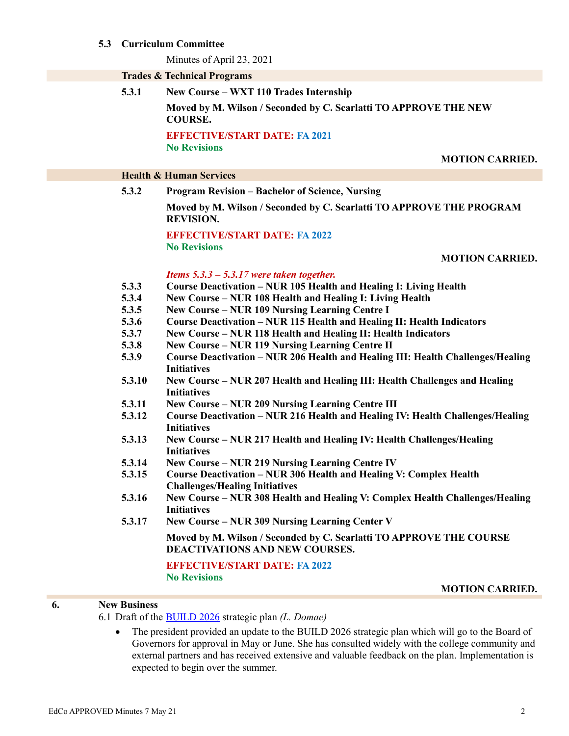#### **5.3 Curriculum Committee**

Minutes of April 23, 2021

|                                    | <b>Trades &amp; Technical Programs</b>                                                                                             |  |  |  |  |
|------------------------------------|------------------------------------------------------------------------------------------------------------------------------------|--|--|--|--|
| 5.3.1                              | New Course - WXT 110 Trades Internship                                                                                             |  |  |  |  |
|                                    | Moved by M. Wilson / Seconded by C. Scarlatti TO APPROVE THE NEW<br><b>COURSE.</b>                                                 |  |  |  |  |
|                                    | <b>EFFECTIVE/START DATE: FA 2021</b>                                                                                               |  |  |  |  |
|                                    | <b>No Revisions</b>                                                                                                                |  |  |  |  |
|                                    | <b>MOTION CARRIED.</b>                                                                                                             |  |  |  |  |
| <b>Health &amp; Human Services</b> |                                                                                                                                    |  |  |  |  |
| 5.3.2                              | <b>Program Revision - Bachelor of Science, Nursing</b>                                                                             |  |  |  |  |
|                                    | Moved by M. Wilson / Seconded by C. Scarlatti TO APPROVE THE PROGRAM<br><b>REVISION.</b>                                           |  |  |  |  |
|                                    | <b>EFFECTIVE/START DATE: FA 2022</b>                                                                                               |  |  |  |  |
|                                    | <b>No Revisions</b>                                                                                                                |  |  |  |  |
|                                    | <b>MOTION CARRIED.</b>                                                                                                             |  |  |  |  |
|                                    | Items $5.3.3 - 5.3.17$ were taken together.                                                                                        |  |  |  |  |
| 5.3.3                              | Course Deactivation - NUR 105 Health and Healing I: Living Health                                                                  |  |  |  |  |
| 5.3.4                              | New Course – NUR 108 Health and Healing I: Living Health                                                                           |  |  |  |  |
| 5.3.5                              | <b>New Course - NUR 109 Nursing Learning Centre I</b>                                                                              |  |  |  |  |
| 5.3.6                              | Course Deactivation - NUR 115 Health and Healing II: Health Indicators                                                             |  |  |  |  |
| 5.3.7<br>5.3.8                     | New Course - NUR 118 Health and Healing II: Health Indicators                                                                      |  |  |  |  |
| 5.3.9                              | New Course - NUR 119 Nursing Learning Centre II<br>Course Deactivation - NUR 206 Health and Healing III: Health Challenges/Healing |  |  |  |  |
|                                    | <b>Initiatives</b>                                                                                                                 |  |  |  |  |
| 5.3.10                             | New Course - NUR 207 Health and Healing III: Health Challenges and Healing                                                         |  |  |  |  |
| 5.3.11                             | <b>Initiatives</b><br><b>New Course – NUR 209 Nursing Learning Centre III</b>                                                      |  |  |  |  |
| 5.3.12                             | Course Deactivation - NUR 216 Health and Healing IV: Health Challenges/Healing                                                     |  |  |  |  |
|                                    | <b>Initiatives</b>                                                                                                                 |  |  |  |  |
| 5.3.13                             | New Course - NUR 217 Health and Healing IV: Health Challenges/Healing                                                              |  |  |  |  |
|                                    | <b>Initiatives</b>                                                                                                                 |  |  |  |  |
| 5.3.14                             | New Course - NUR 219 Nursing Learning Centre IV                                                                                    |  |  |  |  |
| 5.3.15                             | <b>Course Deactivation – NUR 306 Health and Healing V: Complex Health</b>                                                          |  |  |  |  |
|                                    | <b>Challenges/Healing Initiatives</b>                                                                                              |  |  |  |  |
| 5.3.16                             | New Course - NUR 308 Health and Healing V: Complex Health Challenges/Healing                                                       |  |  |  |  |
| 5.3.17                             | <b>Initiatives</b><br><b>New Course – NUR 309 Nursing Learning Center V</b>                                                        |  |  |  |  |
|                                    |                                                                                                                                    |  |  |  |  |
|                                    | Moved by M. Wilson / Seconded by C. Scarlatti TO APPROVE THE COURSE<br><b>DEACTIVATIONS AND NEW COURSES.</b>                       |  |  |  |  |
|                                    |                                                                                                                                    |  |  |  |  |
|                                    | <b>EFFECTIVE/START DATE: FA 2022</b>                                                                                               |  |  |  |  |
|                                    | <b>No Revisions</b>                                                                                                                |  |  |  |  |

**MOTION CARRIED.**

## **6. New Business**

6.1 Draft of the [BUILD 2026](https://engage.nic.bc.ca/) strategic plan *(L. Domae)*

• The president provided an update to the BUILD 2026 strategic plan which will go to the Board of Governors for approval in May or June. She has consulted widely with the college community and external partners and has received extensive and valuable feedback on the plan. Implementation is expected to begin over the summer.